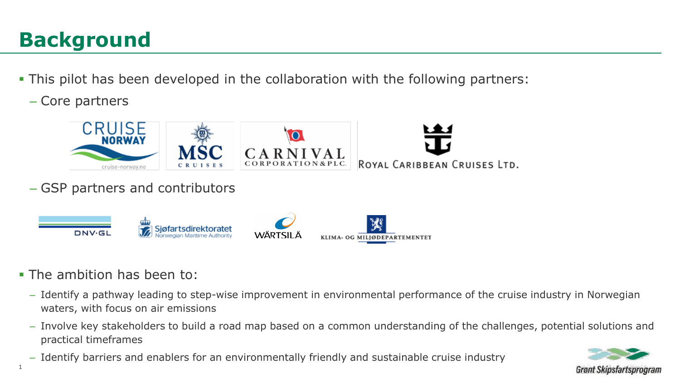# **Background**

- This pilot has been developed in the collaboration with the following partners:
	- Core partners



- The ambition has been to:
	- Identify a pathway leading to step-wise improvement in environmental performance of the cruise industry in Norwegian waters, with focus on air emissions
	- Involve key stakeholders to build a road map based on a common understanding of the challenges, potential solutions and practical timeframes
	- Identify barriers and enablers for an environmentally friendly and sustainable cruise industry